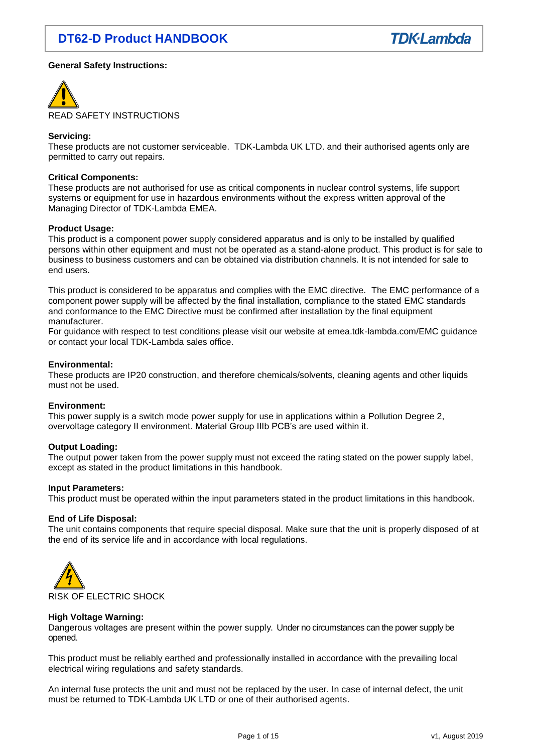## **General Safety Instructions:**



#### **Servicing:**

These products are not customer serviceable. TDK-Lambda UK LTD. and their authorised agents only are permitted to carry out repairs.

#### **Critical Components:**

These products are not authorised for use as critical components in nuclear control systems, life support systems or equipment for use in hazardous environments without the express written approval of the Managing Director of TDK-Lambda EMEA.

#### **Product Usage:**

This product is a component power supply considered apparatus and is only to be installed by qualified persons within other equipment and must not be operated as a stand-alone product. This product is for sale to business to business customers and can be obtained via distribution channels. It is not intended for sale to end users.

This product is considered to be apparatus and complies with the EMC directive. The EMC performance of a component power supply will be affected by the final installation, compliance to the stated EMC standards and conformance to the EMC Directive must be confirmed after installation by the final equipment manufacturer.

For guidance with respect to test conditions please visit our website at emea.tdk-lambda.com/EMC guidance or contact your local TDK-Lambda sales office.

#### **Environmental:**

These products are IP20 construction, and therefore chemicals/solvents, cleaning agents and other liquids must not be used.

#### **Environment:**

This power supply is a switch mode power supply for use in applications within a Pollution Degree 2, overvoltage category II environment. Material Group IIIb PCB's are used within it.

#### **Output Loading:**

The output power taken from the power supply must not exceed the rating stated on the power supply label, except as stated in the product limitations in this handbook.

#### **Input Parameters:**

This product must be operated within the input parameters stated in the product limitations in this handbook.

#### **End of Life Disposal:**

The unit contains components that require special disposal. Make sure that the unit is properly disposed of at the end of its service life and in accordance with local regulations.



#### **High Voltage Warning:**

Dangerous voltages are present within the power supply. Under no circumstances can the power supply be opened.

This product must be reliably earthed and professionally installed in accordance with the prevailing local electrical wiring regulations and safety standards.

An internal fuse protects the unit and must not be replaced by the user. In case of internal defect, the unit must be returned to TDK-Lambda UK LTD or one of their authorised agents.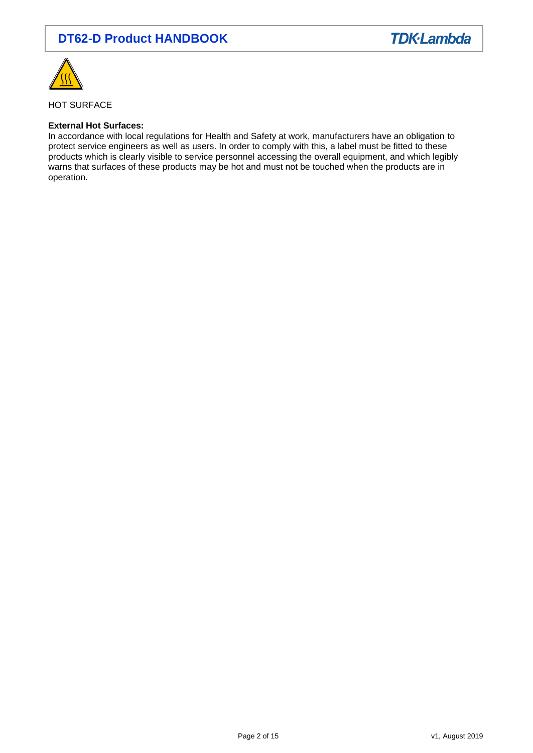



HOT SURFACE

#### **External Hot Surfaces:**

In accordance with local regulations for Health and Safety at work, manufacturers have an obligation to protect service engineers as well as users. In order to comply with this, a label must be fitted to these products which is clearly visible to service personnel accessing the overall equipment, and which legibly warns that surfaces of these products may be hot and must not be touched when the products are in operation.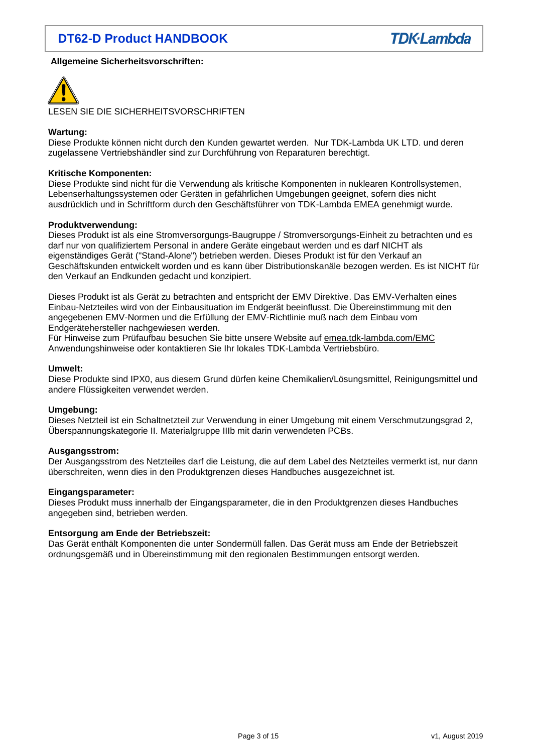## **Allgemeine Sicherheitsvorschriften:**



LESEN SIE DIE SICHERHEITSVORSCHRIFTEN

## **Wartung:**

Diese Produkte können nicht durch den Kunden gewartet werden. Nur TDK-Lambda UK LTD. und deren zugelassene Vertriebshändler sind zur Durchführung von Reparaturen berechtigt.

#### **Kritische Komponenten:**

Diese Produkte sind nicht für die Verwendung als kritische Komponenten in nuklearen Kontrollsystemen, Lebenserhaltungssystemen oder Geräten in gefährlichen Umgebungen geeignet, sofern dies nicht ausdrücklich und in Schriftform durch den Geschäftsführer von TDK-Lambda EMEA genehmigt wurde.

#### **Produktverwendung:**

Dieses Produkt ist als eine Stromversorgungs-Baugruppe / Stromversorgungs-Einheit zu betrachten und es darf nur von qualifiziertem Personal in andere Geräte eingebaut werden und es darf NICHT als eigenständiges Gerät ("Stand-Alone") betrieben werden. Dieses Produkt ist für den Verkauf an Geschäftskunden entwickelt worden und es kann über Distributionskanäle bezogen werden. Es ist NICHT für den Verkauf an Endkunden gedacht und konzipiert.

Dieses Produkt ist als Gerät zu betrachten and entspricht der EMV Direktive. Das EMV-Verhalten eines Einbau-Netzteiles wird von der Einbausituation im Endgerät beeinflusst. Die Übereinstimmung mit den angegebenen EMV-Normen und die Erfüllung der EMV-Richtlinie muß nach dem Einbau vom Endgerätehersteller nachgewiesen werden.

Für Hinweise zum Prüfaufbau besuchen Sie bitte unsere Website auf [emea.tdk-lambda.com/EMC](http://emea.tdk-lambda.com/EMC) Anwendungshinweise oder kontaktieren Sie Ihr lokales TDK-Lambda Vertriebsbüro.

#### **Umwelt:**

Diese Produkte sind IPX0, aus diesem Grund dürfen keine Chemikalien/Lösungsmittel, Reinigungsmittel und andere Flüssigkeiten verwendet werden.

#### **Umgebung:**

Dieses Netzteil ist ein Schaltnetzteil zur Verwendung in einer Umgebung mit einem Verschmutzungsgrad 2, Überspannungskategorie II. Materialgruppe IIIb mit darin verwendeten PCBs.

#### **Ausgangsstrom:**

Der Ausgangsstrom des Netzteiles darf die Leistung, die auf dem Label des Netzteiles vermerkt ist, nur dann überschreiten, wenn dies in den Produktgrenzen dieses Handbuches ausgezeichnet ist.

#### **Eingangsparameter:**

Dieses Produkt muss innerhalb der Eingangsparameter, die in den Produktgrenzen dieses Handbuches angegeben sind, betrieben werden.

#### **Entsorgung am Ende der Betriebszeit:**

Das Gerät enthält Komponenten die unter Sondermüll fallen. Das Gerät muss am Ende der Betriebszeit ordnungsgemäß und in Übereinstimmung mit den regionalen Bestimmungen entsorgt werden.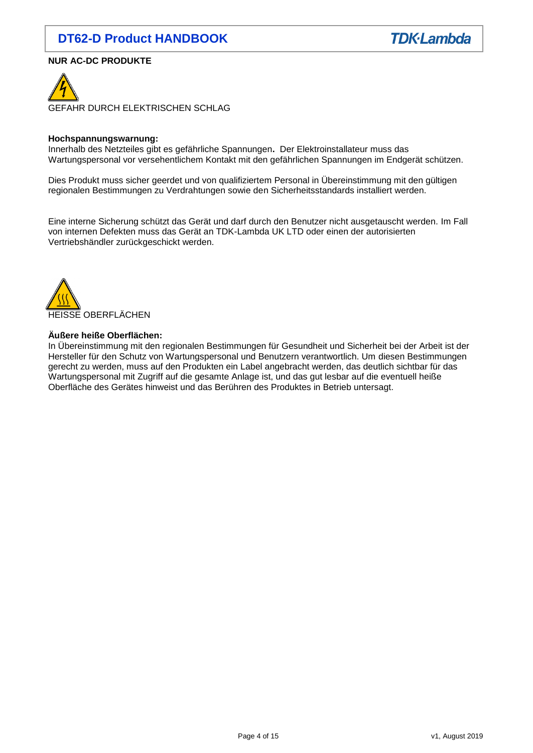## **NUR AC-DC PRODUKTE**



#### **Hochspannungswarnung:**

Innerhalb des Netzteiles gibt es gefährliche Spannungen**.** Der Elektroinstallateur muss das Wartungspersonal vor versehentlichem Kontakt mit den gefährlichen Spannungen im Endgerät schützen.

Dies Produkt muss sicher geerdet und von qualifiziertem Personal in Übereinstimmung mit den gültigen regionalen Bestimmungen zu Verdrahtungen sowie den Sicherheitsstandards installiert werden.

Eine interne Sicherung schützt das Gerät und darf durch den Benutzer nicht ausgetauscht werden. Im Fall von internen Defekten muss das Gerät an TDK-Lambda UK LTD oder einen der autorisierten Vertriebshändler zurückgeschickt werden.



## **Äußere heiße Oberflächen:**

In Übereinstimmung mit den regionalen Bestimmungen für Gesundheit und Sicherheit bei der Arbeit ist der Hersteller für den Schutz von Wartungspersonal und Benutzern verantwortlich. Um diesen Bestimmungen gerecht zu werden, muss auf den Produkten ein Label angebracht werden, das deutlich sichtbar für das Wartungspersonal mit Zugriff auf die gesamte Anlage ist, und das gut lesbar auf die eventuell heiße Oberfläche des Gerätes hinweist und das Berühren des Produktes in Betrieb untersagt.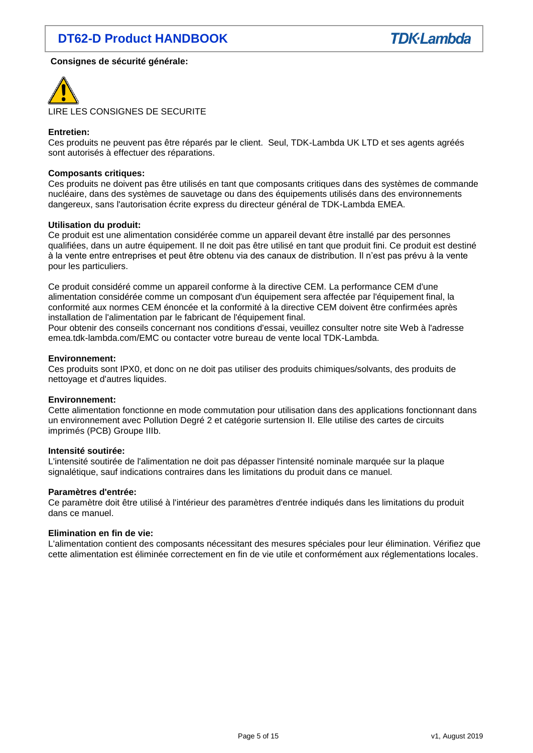## **Consignes de sécurité générale:**



## **Entretien:**

Ces produits ne peuvent pas être réparés par le client. Seul, TDK-Lambda UK LTD et ses agents agréés sont autorisés à effectuer des réparations.

#### **Composants critiques:**

Ces produits ne doivent pas être utilisés en tant que composants critiques dans des systèmes de commande nucléaire, dans des systèmes de sauvetage ou dans des équipements utilisés dans des environnements dangereux, sans l'autorisation écrite express du directeur général de TDK-Lambda EMEA.

#### **Utilisation du produit:**

Ce produit est une alimentation considérée comme un appareil devant être installé par des personnes qualifiées, dans un autre équipement. Il ne doit pas être utilisé en tant que produit fini. Ce produit est destiné à la vente entre entreprises et peut être obtenu via des canaux de distribution. Il n'est pas prévu à la vente pour les particuliers.

Ce produit considéré comme un appareil conforme à la directive CEM. La performance CEM d'une alimentation considérée comme un composant d'un équipement sera affectée par l'équipement final, la conformité aux normes CEM énoncée et la conformité à la directive CEM doivent être confirmées après installation de l'alimentation par le fabricant de l'équipement final.

Pour obtenir des conseils concernant nos conditions d'essai, veuillez consulter notre site Web à l'adresse emea.tdk-lambda.com/EMC ou contacter votre bureau de vente local TDK-Lambda.

#### **Environnement:**

Ces produits sont IPX0, et donc on ne doit pas utiliser des produits chimiques/solvants, des produits de nettoyage et d'autres liquides.

#### **Environnement:**

Cette alimentation fonctionne en mode commutation pour utilisation dans des applications fonctionnant dans un environnement avec Pollution Degré 2 et catégorie surtension II. Elle utilise des cartes de circuits imprimés (PCB) Groupe IIIb.

#### **Intensité soutirée:**

L'intensité soutirée de l'alimentation ne doit pas dépasser l'intensité nominale marquée sur la plaque signalétique, sauf indications contraires dans les limitations du produit dans ce manuel.

#### **Paramètres d'entrée:**

Ce paramètre doit être utilisé à l'intérieur des paramètres d'entrée indiqués dans les limitations du produit dans ce manuel.

## **Elimination en fin de vie:**

L'alimentation contient des composants nécessitant des mesures spéciales pour leur élimination. Vérifiez que cette alimentation est éliminée correctement en fin de vie utile et conformément aux réglementations locales.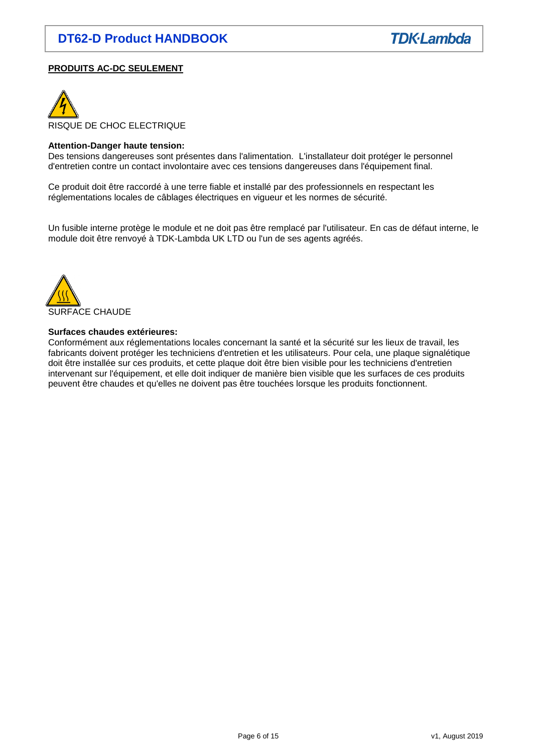## **PRODUITS AC-DC SEULEMENT**



#### **Attention-Danger haute tension:**

Des tensions dangereuses sont présentes dans l'alimentation. L'installateur doit protéger le personnel d'entretien contre un contact involontaire avec ces tensions dangereuses dans l'équipement final.

Ce produit doit être raccordé à une terre fiable et installé par des professionnels en respectant les réglementations locales de câblages électriques en vigueur et les normes de sécurité.

Un fusible interne protège le module et ne doit pas être remplacé par l'utilisateur. En cas de défaut interne, le module doit être renvoyé à TDK-Lambda UK LTD ou l'un de ses agents agréés.



#### **Surfaces chaudes extérieures:**

Conformément aux réglementations locales concernant la santé et la sécurité sur les lieux de travail, les fabricants doivent protéger les techniciens d'entretien et les utilisateurs. Pour cela, une plaque signalétique doit être installée sur ces produits, et cette plaque doit être bien visible pour les techniciens d'entretien intervenant sur l'équipement, et elle doit indiquer de manière bien visible que les surfaces de ces produits peuvent être chaudes et qu'elles ne doivent pas être touchées lorsque les produits fonctionnent.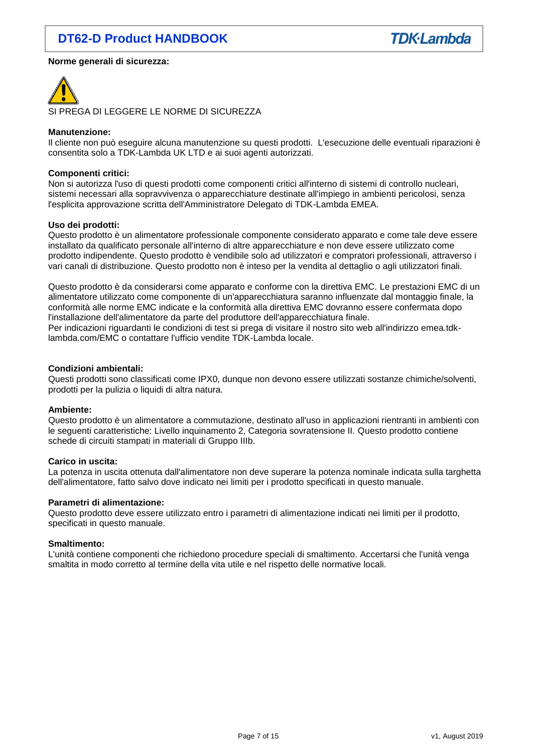

#### **Norme generali di sicurezza:**



#### **Manutenzione:**

Il cliente non può eseguire alcuna manutenzione su questi prodotti. L'esecuzione delle eventuali riparazioni è consentita solo a TDK-Lambda UK LTD e ai suoi agenti autorizzati.

#### **Componenti critici:**

Non si autorizza l'uso di questi prodotti come componenti critici all'interno di sistemi di controllo nucleari, sistemi necessari alla sopravvivenza o apparecchiature destinate all'impiego in ambienti pericolosi, senza l'esplicita approvazione scritta dell'Amministratore Delegato di TDK-Lambda EMEA.

## **Uso dei prodotti:**

Questo prodotto è un alimentatore professionale componente considerato apparato e come tale deve essere installato da qualificato personale all'interno di altre apparecchiature e non deve essere utilizzato come prodotto indipendente. Questo prodotto è vendibile solo ad utilizzatori e compratori professionali, attraverso i vari canali di distribuzione. Questo prodotto non è inteso per la vendita al dettaglio o agli utilizzatori finali.

Questo prodotto è da considerarsi come apparato e conforme con la direttiva EMC. Le prestazioni EMC di un alimentatore utilizzato come componente di un'apparecchiatura saranno influenzate dal montaggio finale, la conformità alle norme EMC indicate e la conformità alla direttiva EMC dovranno essere confermata dopo l'installazione dell'alimentatore da parte del produttore dell'apparecchiatura finale.

Per indicazioni riguardanti le condizioni di test si prega di visitare il nostro sito web all'indirizzo emea.tdklambda.com/EMC o contattare l'ufficio vendite TDK-Lambda locale.

#### **Condizioni ambientali:**

Questi prodotti sono classificati come IPX0, dunque non devono essere utilizzati sostanze chimiche/solventi, prodotti per la pulizia o liquidi di altra natura.

#### **Ambiente:**

Questo prodotto è un alimentatore a commutazione, destinato all'uso in applicazioni rientranti in ambienti con le seguenti caratteristiche: Livello inquinamento 2, Categoria sovratensione II. Questo prodotto contiene schede di circuiti stampati in materiali di Gruppo IIIb.

#### **Carico in uscita:**

La potenza in uscita ottenuta dall'alimentatore non deve superare la potenza nominale indicata sulla targhetta dell'alimentatore, fatto salvo dove indicato nei limiti per i prodotto specificati in questo manuale.

#### **Parametri di alimentazione:**

Questo prodotto deve essere utilizzato entro i parametri di alimentazione indicati nei limiti per il prodotto, specificati in questo manuale.

#### **Smaltimento:**

L'unità contiene componenti che richiedono procedure speciali di smaltimento. Accertarsi che l'unità venga smaltita in modo corretto al termine della vita utile e nel rispetto delle normative locali.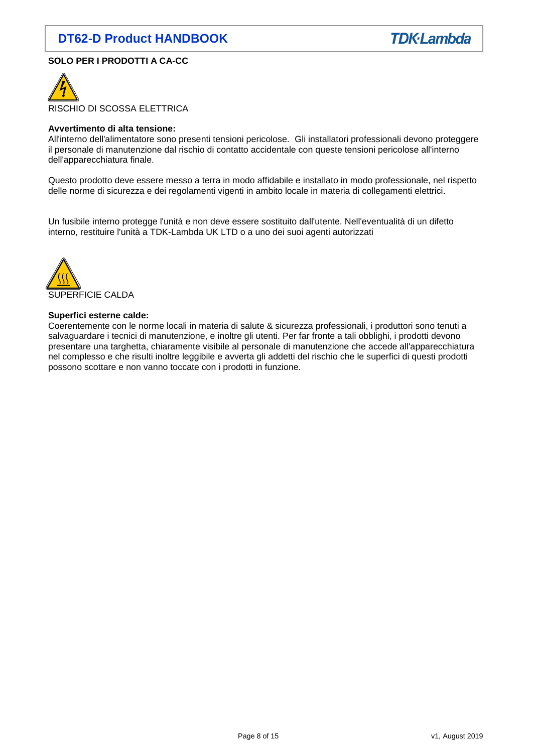

## **SOLO PER I PRODOTTI A CA-CC**



#### **Avvertimento di alta tensione:**

All'interno dell'alimentatore sono presenti tensioni pericolose. Gli installatori professionali devono proteggere il personale di manutenzione dal rischio di contatto accidentale con queste tensioni pericolose all'interno dell'apparecchiatura finale.

Questo prodotto deve essere messo a terra in modo affidabile e installato in modo professionale, nel rispetto delle norme di sicurezza e dei regolamenti vigenti in ambito locale in materia di collegamenti elettrici.

Un fusibile interno protegge l'unità e non deve essere sostituito dall'utente. Nell'eventualità di un difetto interno, restituire l'unità a TDK-Lambda UK LTD o a uno dei suoi agenti autorizzati



#### **Superfici esterne calde:**

Coerentemente con le norme locali in materia di salute & sicurezza professionali, i produttori sono tenuti a salvaguardare i tecnici di manutenzione, e inoltre gli utenti. Per far fronte a tali obblighi, i prodotti devono presentare una targhetta, chiaramente visibile al personale di manutenzione che accede all'apparecchiatura nel complesso e che risulti inoltre leggibile e avverta gli addetti del rischio che le superfici di questi prodotti possono scottare e non vanno toccate con i prodotti in funzione.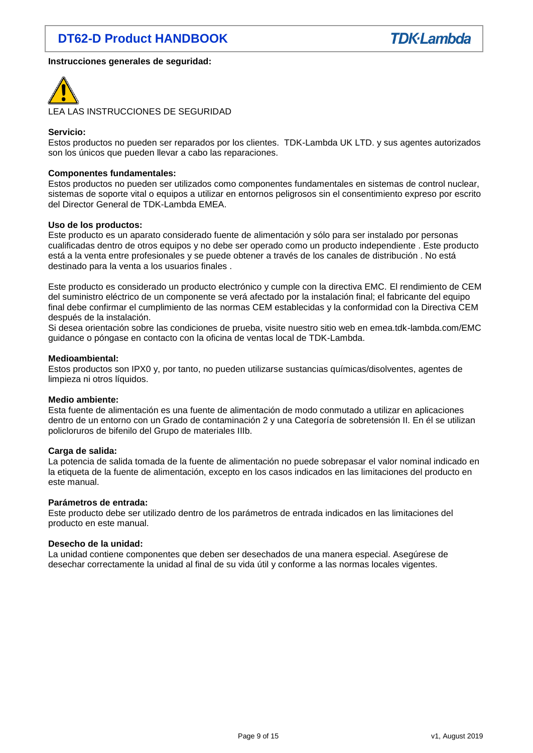

#### **Instrucciones generales de seguridad:**



#### **Servicio:**

Estos productos no pueden ser reparados por los clientes. TDK-Lambda UK LTD. y sus agentes autorizados son los únicos que pueden llevar a cabo las reparaciones.

#### **Componentes fundamentales:**

Estos productos no pueden ser utilizados como componentes fundamentales en sistemas de control nuclear, sistemas de soporte vital o equipos a utilizar en entornos peligrosos sin el consentimiento expreso por escrito del Director General de TDK-Lambda EMEA.

#### **Uso de los productos:**

Este producto es un aparato considerado fuente de alimentación y sólo para ser instalado por personas cualificadas dentro de otros equipos y no debe ser operado como un producto independiente . Este producto está a la venta entre profesionales y se puede obtener a través de los canales de distribución . No está destinado para la venta a los usuarios finales .

Este producto es considerado un producto electrónico y cumple con la directiva EMC. El rendimiento de CEM del suministro eléctrico de un componente se verá afectado por la instalación final; el fabricante del equipo final debe confirmar el cumplimiento de las normas CEM establecidas y la conformidad con la Directiva CEM después de la instalación.

Si desea orientación sobre las condiciones de prueba, visite nuestro sitio web en emea.tdk-lambda.com/EMC guidance o póngase en contacto con la oficina de ventas local de TDK-Lambda.

#### **Medioambiental:**

Estos productos son IPX0 y, por tanto, no pueden utilizarse sustancias químicas/disolventes, agentes de limpieza ni otros líquidos.

#### **Medio ambiente:**

Esta fuente de alimentación es una fuente de alimentación de modo conmutado a utilizar en aplicaciones dentro de un entorno con un Grado de contaminación 2 y una Categoría de sobretensión II. En él se utilizan policloruros de bifenilo del Grupo de materiales IIIb.

#### **Carga de salida:**

La potencia de salida tomada de la fuente de alimentación no puede sobrepasar el valor nominal indicado en la etiqueta de la fuente de alimentación, excepto en los casos indicados en las limitaciones del producto en este manual.

#### **Parámetros de entrada:**

Este producto debe ser utilizado dentro de los parámetros de entrada indicados en las limitaciones del producto en este manual.

#### **Desecho de la unidad:**

La unidad contiene componentes que deben ser desechados de una manera especial. Asegúrese de desechar correctamente la unidad al final de su vida útil y conforme a las normas locales vigentes.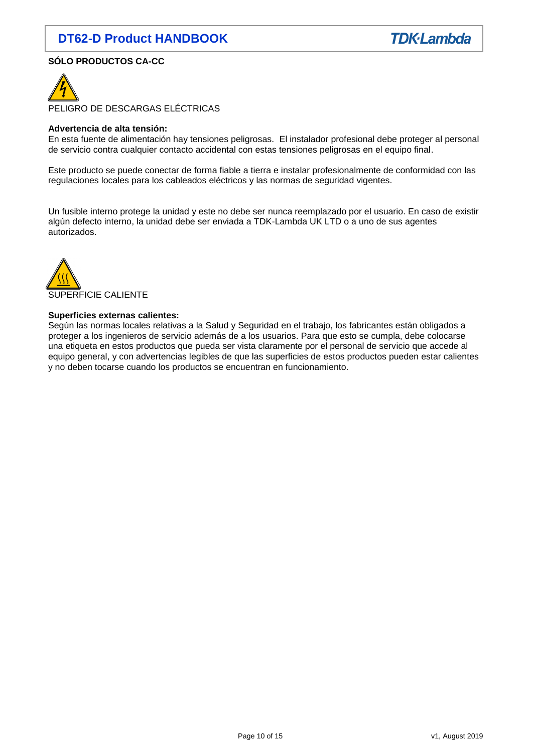

## **SÓLO PRODUCTOS CA-CC**



PELIGRO DE DESCARGAS ELÉCTRICAS

#### **Advertencia de alta tensión:**

En esta fuente de alimentación hay tensiones peligrosas. El instalador profesional debe proteger al personal de servicio contra cualquier contacto accidental con estas tensiones peligrosas en el equipo final.

Este producto se puede conectar de forma fiable a tierra e instalar profesionalmente de conformidad con las regulaciones locales para los cableados eléctricos y las normas de seguridad vigentes.

Un fusible interno protege la unidad y este no debe ser nunca reemplazado por el usuario. En caso de existir algún defecto interno, la unidad debe ser enviada a TDK-Lambda UK LTD o a uno de sus agentes autorizados.



#### **Superficies externas calientes:**

Según las normas locales relativas a la Salud y Seguridad en el trabajo, los fabricantes están obligados a proteger a los ingenieros de servicio además de a los usuarios. Para que esto se cumpla, debe colocarse una etiqueta en estos productos que pueda ser vista claramente por el personal de servicio que accede al equipo general, y con advertencias legibles de que las superficies de estos productos pueden estar calientes y no deben tocarse cuando los productos se encuentran en funcionamiento.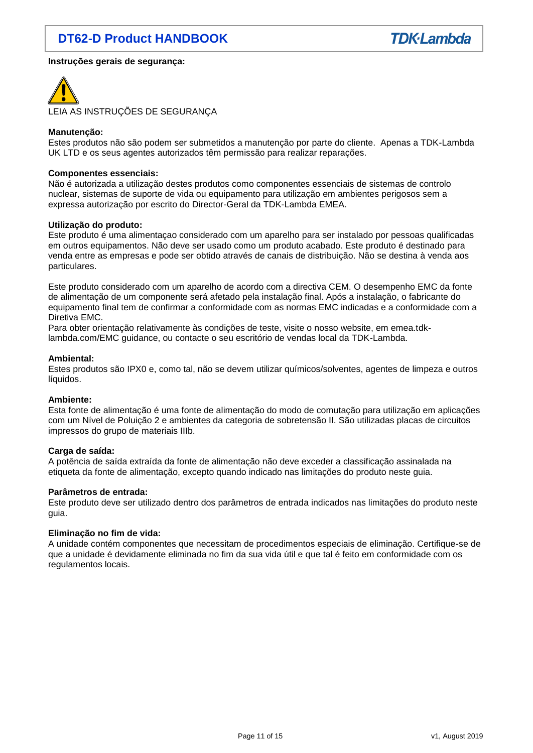## **Instruções gerais de segurança:**



### **Manutenção:**

Estes produtos não são podem ser submetidos a manutenção por parte do cliente. Apenas a TDK-Lambda UK LTD e os seus agentes autorizados têm permissão para realizar reparações.

#### **Componentes essenciais:**

Não é autorizada a utilização destes produtos como componentes essenciais de sistemas de controlo nuclear, sistemas de suporte de vida ou equipamento para utilização em ambientes perigosos sem a expressa autorização por escrito do Director-Geral da TDK-Lambda EMEA.

#### **Utilização do produto:**

Este produto é uma alimentaçao considerado com um aparelho para ser instalado por pessoas qualificadas em outros equipamentos. Não deve ser usado como um produto acabado. Este produto é destinado para venda entre as empresas e pode ser obtido através de canais de distribuição. Não se destina à venda aos particulares.

Este produto considerado com um aparelho de acordo com a directiva CEM. O desempenho EMC da fonte de alimentação de um componente será afetado pela instalação final. Após a instalação, o fabricante do equipamento final tem de confirmar a conformidade com as normas EMC indicadas e a conformidade com a Diretiva EMC.

Para obter orientação relativamente às condições de teste, visite o nosso website, em emea.tdklambda.com/EMC guidance, ou contacte o seu escritório de vendas local da TDK-Lambda.

#### **Ambiental:**

Estes produtos são IPX0 e, como tal, não se devem utilizar químicos/solventes, agentes de limpeza e outros líquidos.

#### **Ambiente:**

Esta fonte de alimentação é uma fonte de alimentação do modo de comutação para utilização em aplicações com um Nível de Poluição 2 e ambientes da categoria de sobretensão II. São utilizadas placas de circuitos impressos do grupo de materiais IIIb.

#### **Carga de saída:**

A potência de saída extraída da fonte de alimentação não deve exceder a classificação assinalada na etiqueta da fonte de alimentação, excepto quando indicado nas limitações do produto neste guia.

#### **Parâmetros de entrada:**

Este produto deve ser utilizado dentro dos parâmetros de entrada indicados nas limitações do produto neste guia.

#### **Eliminação no fim de vida:**

A unidade contém componentes que necessitam de procedimentos especiais de eliminação. Certifique-se de que a unidade é devidamente eliminada no fim da sua vida útil e que tal é feito em conformidade com os regulamentos locais.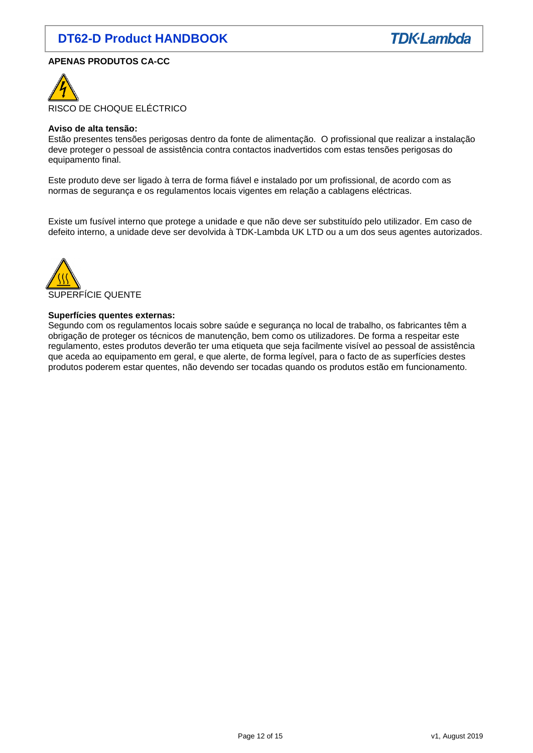

## **APENAS PRODUTOS CA-CC**



#### **Aviso de alta tensão:**

Estão presentes tensões perigosas dentro da fonte de alimentação. O profissional que realizar a instalação deve proteger o pessoal de assistência contra contactos inadvertidos com estas tensões perigosas do equipamento final.

Este produto deve ser ligado à terra de forma fiável e instalado por um profissional, de acordo com as normas de segurança e os regulamentos locais vigentes em relação a cablagens eléctricas.

Existe um fusível interno que protege a unidade e que não deve ser substituído pelo utilizador. Em caso de defeito interno, a unidade deve ser devolvida à TDK-Lambda UK LTD ou a um dos seus agentes autorizados.



## **Superfícies quentes externas:**

Segundo com os regulamentos locais sobre saúde e segurança no local de trabalho, os fabricantes têm a obrigação de proteger os técnicos de manutenção, bem como os utilizadores. De forma a respeitar este regulamento, estes produtos deverão ter uma etiqueta que seja facilmente visível ao pessoal de assistência que aceda ao equipamento em geral, e que alerte, de forma legível, para o facto de as superfícies destes produtos poderem estar quentes, não devendo ser tocadas quando os produtos estão em funcionamento.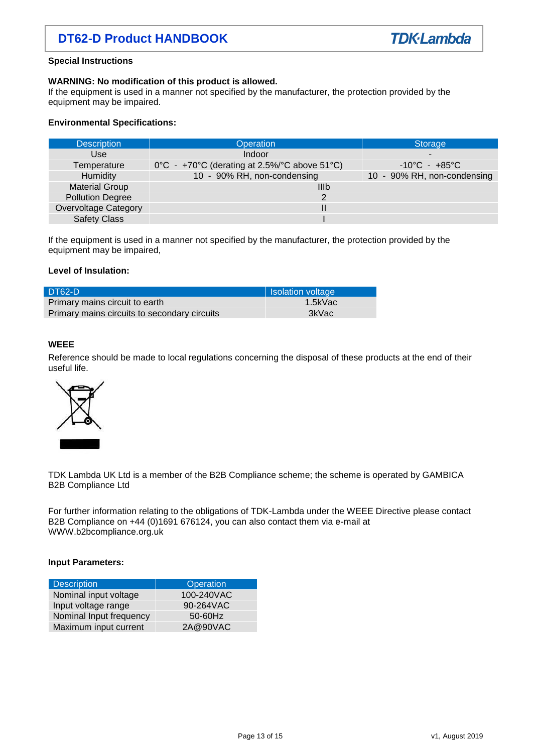#### **Special Instructions**

#### **WARNING: No modification of this product is allowed.**

If the equipment is used in a manner not specified by the manufacturer, the protection provided by the equipment may be impaired.

## **Environmental Specifications:**

| <b>Description</b>      | <b>Operation</b>                                       | Storage                           |  |
|-------------------------|--------------------------------------------------------|-----------------------------------|--|
| Use                     | Indoor                                                 | ۰                                 |  |
| Temperature             | $0^{\circ}$ C - +70°C (derating at 2.5%/°C above 51°C) | $-10^{\circ}$ C - $+85^{\circ}$ C |  |
| Humidity                | 10 - 90% RH, non-condensing                            | 10 - 90% RH, non-condensing       |  |
| <b>Material Group</b>   | IIIb                                                   |                                   |  |
| <b>Pollution Degree</b> | 2                                                      |                                   |  |
| Overvoltage Category    |                                                        |                                   |  |
| <b>Safety Class</b>     |                                                        |                                   |  |

If the equipment is used in a manner not specified by the manufacturer, the protection provided by the equipment may be impaired,

## **Level of Insulation:**

| DT62-D                                       | <b>Isolation voltage</b> |
|----------------------------------------------|--------------------------|
| Primary mains circuit to earth               | 1.5kVac                  |
| Primary mains circuits to secondary circuits | 3kVac                    |

#### **WEEE**

Reference should be made to local regulations concerning the disposal of these products at the end of their useful life.



TDK Lambda UK Ltd is a member of the B2B Compliance scheme; the scheme is operated by GAMBICA B2B Compliance Ltd

For further information relating to the obligations of TDK-Lambda under the WEEE Directive please contact B2B Compliance on +44 (0)1691 676124, you can also contact them via e-mail at WWW.b2bcompliance.org.uk

#### **Input Parameters:**

| Description             | Operation  |  |
|-------------------------|------------|--|
| Nominal input voltage   | 100-240VAC |  |
| Input voltage range     | 90-264VAC  |  |
| Nominal Input frequency | $50-60$ Hz |  |
| Maximum input current   | 2A@90VAC   |  |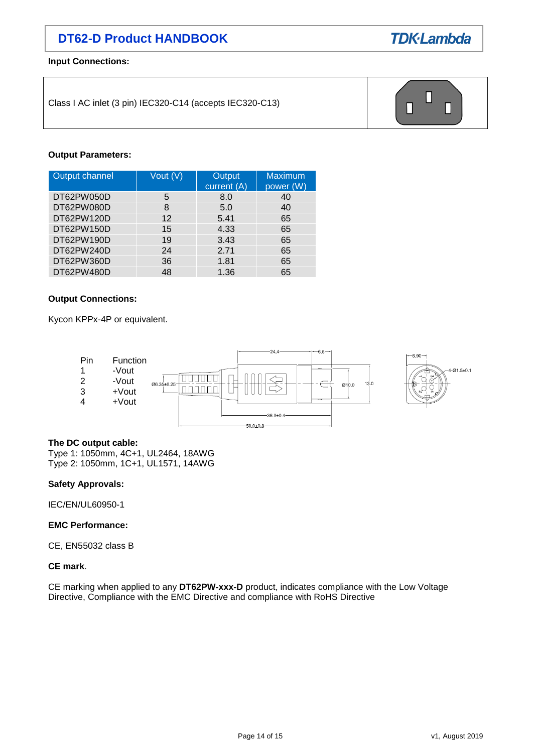

**Input Connections:**

Class I AC inlet (3 pin) IEC320-C14 (accepts IEC320-C13)



## **Output Parameters:**

| Output channel | Vout (V)          | Output<br>current (A) | <b>Maximum</b><br>power (W) |
|----------------|-------------------|-----------------------|-----------------------------|
| DT62PW050D     | 5                 | 8.0                   | 40                          |
| DT62PW080D     | 8                 | 5.0                   | 40                          |
| DT62PW120D     | $12 \overline{ }$ | 5.41                  | 65                          |
| DT62PW150D     | 15                | 4.33                  | 65                          |
| DT62PW190D     | 19                | 3.43                  | 65                          |
| DT62PW240D     | 24                | 2.71                  | 65                          |
| DT62PW360D     | 36                | 1.81                  | 65                          |
| DT62PW480D     | 48                | 1.36                  | 65                          |

## **Output Connections:**

Kycon KPPx-4P or equivalent.



## **The DC output cable:**

Type 1: 1050mm, 4C+1, UL2464, 18AWG Type 2: 1050mm, 1C+1, UL1571, 14AWG

#### **Safety Approvals:**

IEC/EN/UL60950-1

## **EMC Performance:**

CE, EN55032 class B

## **CE mark**.

CE marking when applied to any **DT62PW-xxx-D** product, indicates compliance with the Low Voltage Directive, Compliance with the EMC Directive and compliance with RoHS Directive